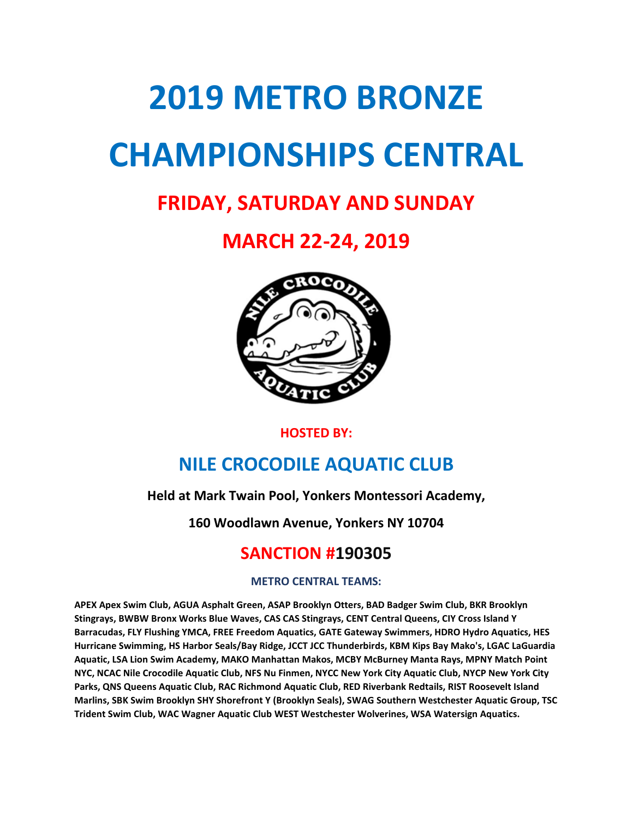# 2019 METRO BRONZE CHAMPIONSHIPS CENTRAL

# FRIDAY, SATURDAY AND SUNDAY

# MARCH 22-24, 2019



#### HOSTED BY:

# NILE CROCODILE AQUATIC CLUB

#### Held at Mark Twain Pool, Yonkers Montessori Academy,

160 Woodlawn Avenue, Yonkers NY 10704

## SANCTION #190305

#### METRO CENTRAL TEAMS:

APEX Apex Swim Club, AGUA Asphalt Green, ASAP Brooklyn Otters, BAD Badger Swim Club, BKR Brooklyn Stingrays, BWBW Bronx Works Blue Waves, CAS CAS Stingrays, CENT Central Queens, CIY Cross Island Y Barracudas, FLY Flushing YMCA, FREE Freedom Aquatics, GATE Gateway Swimmers, HDRO Hydro Aquatics, HES Hurricane Swimming, HS Harbor Seals/Bay Ridge, JCCT JCC Thunderbirds, KBM Kips Bay Mako's, LGAC LaGuardia Aquatic, LSA Lion Swim Academy, MAKO Manhattan Makos, MCBY McBurney Manta Rays, MPNY Match Point NYC, NCAC Nile Crocodile Aquatic Club, NFS Nu Finmen, NYCC New York City Aquatic Club, NYCP New York City Parks, QNS Queens Aquatic Club, RAC Richmond Aquatic Club, RED Riverbank Redtails, RIST Roosevelt Island Marlins, SBK Swim Brooklyn SHY Shorefront Y (Brooklyn Seals), SWAG Southern Westchester Aquatic Group, TSC Trident Swim Club, WAC Wagner Aquatic Club WEST Westchester Wolverines, WSA Watersign Aquatics.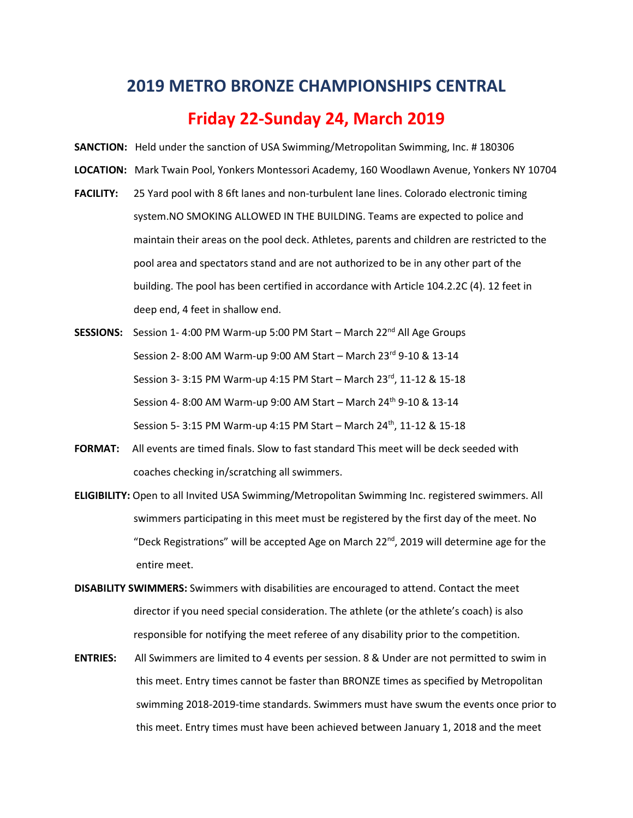#### 2019 METRO BRONZE CHAMPIONSHIPS CENTRAL

#### Friday 22-Sunday 24, March 2019

- SANCTION: Held under the sanction of USA Swimming/Metropolitan Swimming, Inc. # 180306
- LOCATION: Mark Twain Pool, Yonkers Montessori Academy, 160 Woodlawn Avenue, Yonkers NY 10704
- FACILITY: 25 Yard pool with 8 6ft lanes and non-turbulent lane lines. Colorado electronic timing system.NO SMOKING ALLOWED IN THE BUILDING. Teams are expected to police and maintain their areas on the pool deck. Athletes, parents and children are restricted to the pool area and spectators stand and are not authorized to be in any other part of the building. The pool has been certified in accordance with Article 104.2.2C (4). 12 feet in deep end, 4 feet in shallow end.
- **SESSIONS:** Session 1-4:00 PM Warm-up 5:00 PM Start March  $22^{nd}$  All Age Groups Session 2- 8:00 AM Warm-up 9:00 AM Start – March 23rd 9-10 & 13-14 Session 3- 3:15 PM Warm-up 4:15 PM Start – March 23rd, 11-12 & 15-18 Session 4- 8:00 AM Warm-up 9:00 AM Start – March 24<sup>th</sup> 9-10 & 13-14 Session 5- 3:15 PM Warm-up 4:15 PM Start – March 24<sup>th</sup>, 11-12 & 15-18
- FORMAT: All events are timed finals. Slow to fast standard This meet will be deck seeded with coaches checking in/scratching all swimmers.
- ELIGIBILITY: Open to all Invited USA Swimming/Metropolitan Swimming Inc. registered swimmers. All swimmers participating in this meet must be registered by the first day of the meet. No "Deck Registrations" will be accepted Age on March 22<sup>nd</sup>, 2019 will determine age for the entire meet.
- DISABILITY SWIMMERS: Swimmers with disabilities are encouraged to attend. Contact the meet director if you need special consideration. The athlete (or the athlete's coach) is also responsible for notifying the meet referee of any disability prior to the competition.
- ENTRIES: All Swimmers are limited to 4 events per session. 8 & Under are not permitted to swim in this meet. Entry times cannot be faster than BRONZE times as specified by Metropolitan swimming 2018-2019-time standards. Swimmers must have swum the events once prior to this meet. Entry times must have been achieved between January 1, 2018 and the meet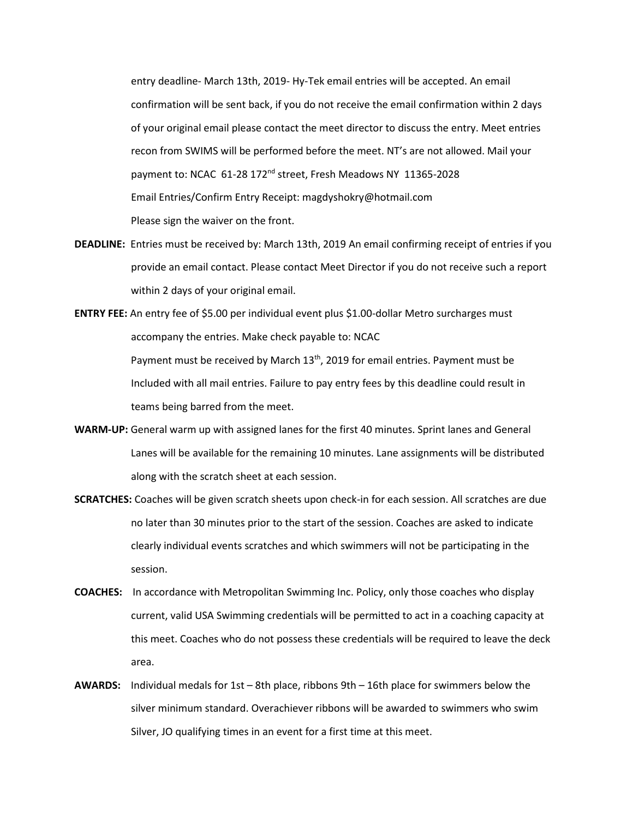entry deadline- March 13th, 2019- Hy-Tek email entries will be accepted. An email confirmation will be sent back, if you do not receive the email confirmation within 2 days of your original email please contact the meet director to discuss the entry. Meet entries recon from SWIMS will be performed before the meet. NT's are not allowed. Mail your payment to: NCAC 61-28 172<sup>nd</sup> street, Fresh Meadows NY 11365-2028 Email Entries/Confirm Entry Receipt: magdyshokry@hotmail.com Please sign the waiver on the front.

- DEADLINE: Entries must be received by: March 13th, 2019 An email confirming receipt of entries if you provide an email contact. Please contact Meet Director if you do not receive such a report within 2 days of your original email.
- ENTRY FEE: An entry fee of \$5.00 per individual event plus \$1.00-dollar Metro surcharges must accompany the entries. Make check payable to: NCAC Payment must be received by March 13<sup>th</sup>, 2019 for email entries. Payment must be Included with all mail entries. Failure to pay entry fees by this deadline could result in teams being barred from the meet.
- WARM-UP: General warm up with assigned lanes for the first 40 minutes. Sprint lanes and General Lanes will be available for the remaining 10 minutes. Lane assignments will be distributed along with the scratch sheet at each session.
- SCRATCHES: Coaches will be given scratch sheets upon check-in for each session. All scratches are due no later than 30 minutes prior to the start of the session. Coaches are asked to indicate clearly individual events scratches and which swimmers will not be participating in the session.
- COACHES: In accordance with Metropolitan Swimming Inc. Policy, only those coaches who display current, valid USA Swimming credentials will be permitted to act in a coaching capacity at this meet. Coaches who do not possess these credentials will be required to leave the deck area.
- **AWARDS:** Individual medals for 1st 8th place, ribbons  $9th 16th$  place for swimmers below the silver minimum standard. Overachiever ribbons will be awarded to swimmers who swim Silver, JO qualifying times in an event for a first time at this meet.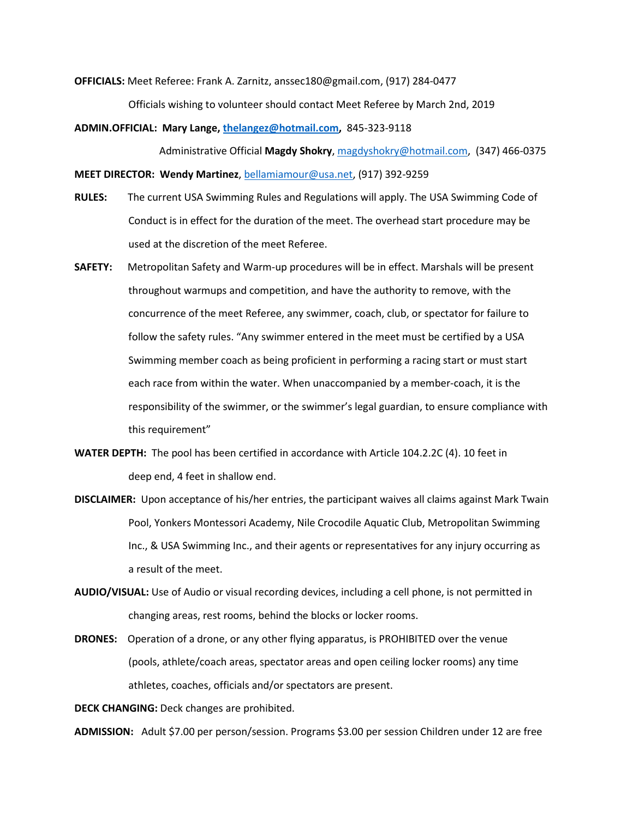OFFICIALS: Meet Referee: Frank A. Zarnitz, anssec180@gmail.com, (917) 284-0477

Officials wishing to volunteer should contact Meet Referee by March 2nd, 2019

ADMIN.OFFICIAL: Mary Lange, thelangez@hotmail.com, 845-323-9118

Administrative Official Magdy Shokry, magdyshokry@hotmail.com, (347) 466-0375

MEET DIRECTOR: Wendy Martinez, bellamiamour@usa.net, (917) 392-9259

- RULES: The current USA Swimming Rules and Regulations will apply. The USA Swimming Code of Conduct is in effect for the duration of the meet. The overhead start procedure may be used at the discretion of the meet Referee.
- SAFETY: Metropolitan Safety and Warm-up procedures will be in effect. Marshals will be present throughout warmups and competition, and have the authority to remove, with the concurrence of the meet Referee, any swimmer, coach, club, or spectator for failure to follow the safety rules. "Any swimmer entered in the meet must be certified by a USA Swimming member coach as being proficient in performing a racing start or must start each race from within the water. When unaccompanied by a member-coach, it is the responsibility of the swimmer, or the swimmer's legal guardian, to ensure compliance with this requirement"
- WATER DEPTH: The pool has been certified in accordance with Article 104.2.2C (4). 10 feet in deep end, 4 feet in shallow end.
- DISCLAIMER: Upon acceptance of his/her entries, the participant waives all claims against Mark Twain Pool, Yonkers Montessori Academy, Nile Crocodile Aquatic Club, Metropolitan Swimming Inc., & USA Swimming Inc., and their agents or representatives for any injury occurring as a result of the meet.
- AUDIO/VISUAL: Use of Audio or visual recording devices, including a cell phone, is not permitted in changing areas, rest rooms, behind the blocks or locker rooms.
- DRONES: Operation of a drone, or any other flying apparatus, is PROHIBITED over the venue (pools, athlete/coach areas, spectator areas and open ceiling locker rooms) any time athletes, coaches, officials and/or spectators are present.

DECK CHANGING: Deck changes are prohibited.

ADMISSION: Adult \$7.00 per person/session. Programs \$3.00 per session Children under 12 are free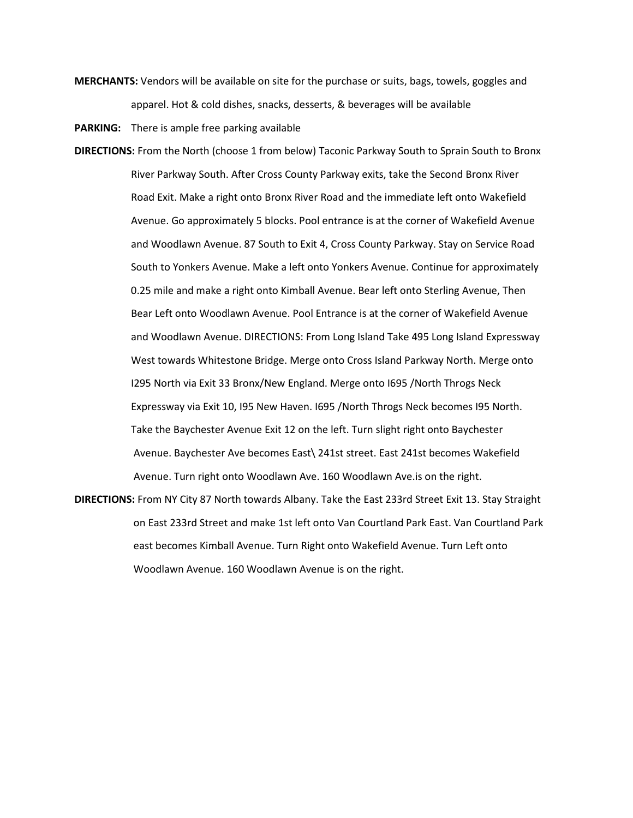MERCHANTS: Vendors will be available on site for the purchase or suits, bags, towels, goggles and apparel. Hot & cold dishes, snacks, desserts, & beverages will be available

PARKING: There is ample free parking available

- DIRECTIONS: From the North (choose 1 from below) Taconic Parkway South to Sprain South to Bronx River Parkway South. After Cross County Parkway exits, take the Second Bronx River Road Exit. Make a right onto Bronx River Road and the immediate left onto Wakefield Avenue. Go approximately 5 blocks. Pool entrance is at the corner of Wakefield Avenue and Woodlawn Avenue. 87 South to Exit 4, Cross County Parkway. Stay on Service Road South to Yonkers Avenue. Make a left onto Yonkers Avenue. Continue for approximately 0.25 mile and make a right onto Kimball Avenue. Bear left onto Sterling Avenue, Then Bear Left onto Woodlawn Avenue. Pool Entrance is at the corner of Wakefield Avenue and Woodlawn Avenue. DIRECTIONS: From Long Island Take 495 Long Island Expressway West towards Whitestone Bridge. Merge onto Cross Island Parkway North. Merge onto I295 North via Exit 33 Bronx/New England. Merge onto I695 /North Throgs Neck Expressway via Exit 10, I95 New Haven. I695 /North Throgs Neck becomes I95 North. Take the Baychester Avenue Exit 12 on the left. Turn slight right onto Baychester Avenue. Baychester Ave becomes East\ 241st street. East 241st becomes Wakefield Avenue. Turn right onto Woodlawn Ave. 160 Woodlawn Ave.is on the right.
- DIRECTIONS: From NY City 87 North towards Albany. Take the East 233rd Street Exit 13. Stay Straight on East 233rd Street and make 1st left onto Van Courtland Park East. Van Courtland Park east becomes Kimball Avenue. Turn Right onto Wakefield Avenue. Turn Left onto Woodlawn Avenue. 160 Woodlawn Avenue is on the right.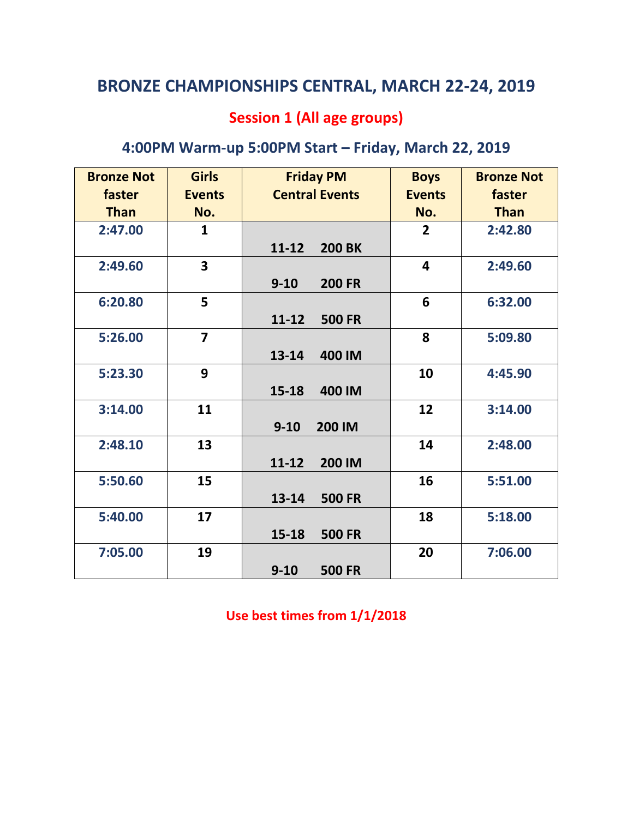## Session 1 (All age groups)

## 4:00PM Warm-up 5:00PM Start – Friday, March 22, 2019

| <b>Bronze Not</b> | <b>Girls</b>   | <b>Friday PM</b>           | <b>Boys</b>             | <b>Bronze Not</b> |
|-------------------|----------------|----------------------------|-------------------------|-------------------|
| faster            | <b>Events</b>  | <b>Central Events</b>      | <b>Events</b>           | faster            |
| <b>Than</b>       | No.            |                            | No.                     | <b>Than</b>       |
| 2:47.00           | 1              |                            | $\overline{2}$          | 2:42.80           |
|                   |                | <b>200 BK</b><br>$11 - 12$ |                         |                   |
| 2:49.60           | 3              |                            | $\overline{\mathbf{4}}$ | 2:49.60           |
|                   |                | $9 - 10$<br><b>200 FR</b>  |                         |                   |
| 6:20.80           | 5              |                            | 6                       | 6:32.00           |
|                   |                | $11 - 12$<br><b>500 FR</b> |                         |                   |
| 5:26.00           | $\overline{7}$ |                            | 8                       | 5:09.80           |
|                   |                | $13 - 14$<br>400 IM        |                         |                   |
| 5:23.30           | 9              |                            | 10                      | 4:45.90           |
|                   |                | $15 - 18$<br>400 IM        |                         |                   |
| 3:14.00           | 11             |                            | 12                      | 3:14.00           |
|                   |                | $9 - 10$<br>200 IM         |                         |                   |
| 2:48.10           | 13             |                            | 14                      | 2:48.00           |
|                   |                | $11 - 12$<br>200 IM        |                         |                   |
| 5:50.60           | 15             |                            | 16                      | 5:51.00           |
|                   |                | $13 - 14$<br><b>500 FR</b> |                         |                   |
| 5:40.00           | 17             |                            | 18                      | 5:18.00           |
|                   |                | <b>500 FR</b><br>$15 - 18$ |                         |                   |
| 7:05.00           | 19             |                            | 20                      | 7:06.00           |
|                   |                | $9 - 10$<br><b>500 FR</b>  |                         |                   |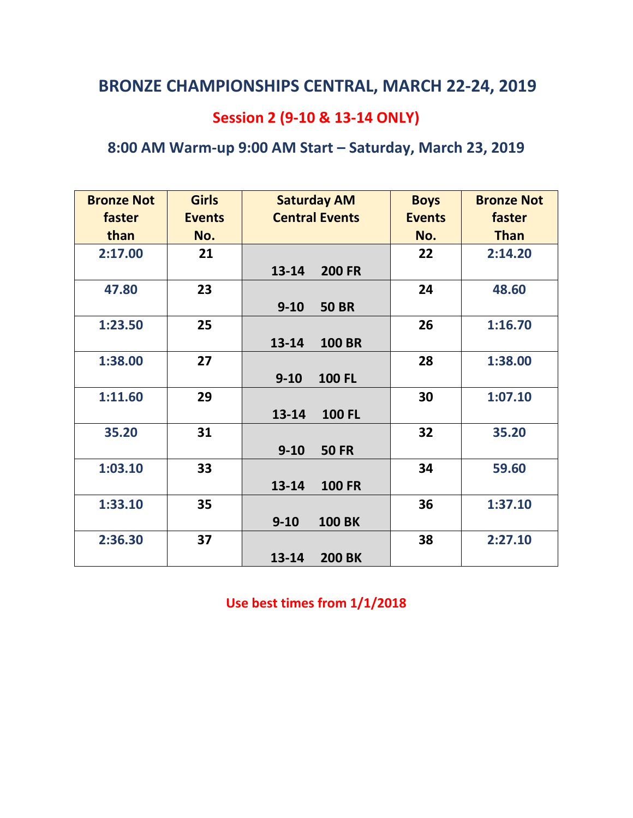## Session 2 (9-10 & 13-14 ONLY)

## 8:00 AM Warm-up 9:00 AM Start – Saturday, March 23, 2019

| <b>Bronze Not</b><br>faster<br>than | <b>Girls</b><br><b>Events</b><br>No. | <b>Saturday AM</b><br><b>Central Events</b> | <b>Boys</b><br><b>Events</b><br>No. | <b>Bronze Not</b><br>faster<br><b>Than</b> |
|-------------------------------------|--------------------------------------|---------------------------------------------|-------------------------------------|--------------------------------------------|
| 2:17.00                             | 21                                   | 13-14<br><b>200 FR</b>                      | 22                                  | 2:14.20                                    |
| 47.80                               | 23                                   | $9 - 10$<br><b>50 BR</b>                    | 24                                  | 48.60                                      |
| 1:23.50                             | 25                                   | 13-14<br><b>100 BR</b>                      | 26                                  | 1:16.70                                    |
| 1:38.00                             | 27                                   | $9 - 10$<br><b>100 FL</b>                   | 28                                  | 1:38.00                                    |
| 1:11.60                             | 29                                   | $13 - 14$<br><b>100 FL</b>                  | 30                                  | 1:07.10                                    |
| 35.20                               | 31                                   | $9 - 10$<br><b>50 FR</b>                    | 32                                  | 35.20                                      |
| 1:03.10                             | 33                                   | <b>100 FR</b><br>13-14                      | 34                                  | 59.60                                      |
| 1:33.10                             | 35                                   | $9 - 10$<br><b>100 BK</b>                   | 36                                  | 1:37.10                                    |
| 2:36.30                             | 37                                   | 13-14<br><b>200 BK</b>                      | 38                                  | 2:27.10                                    |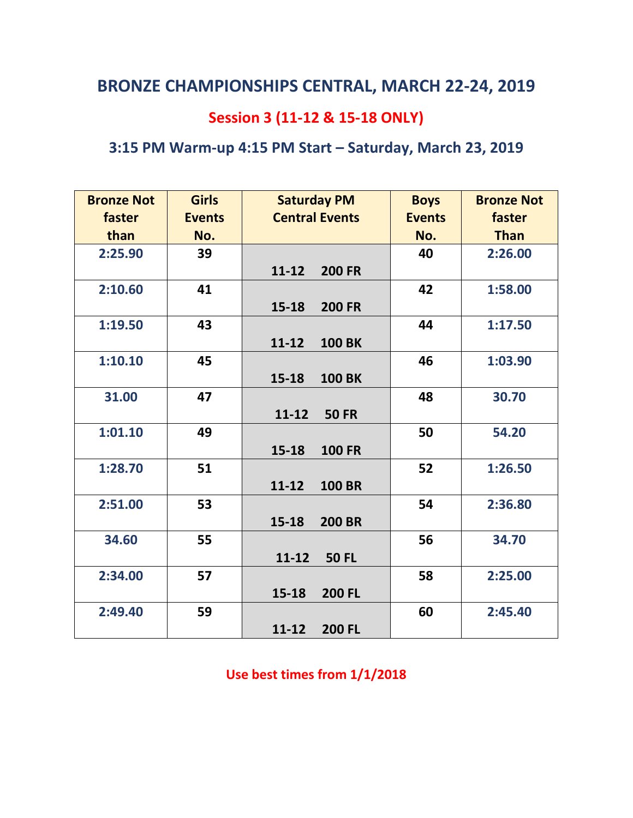## Session 3 (11-12 & 15-18 ONLY)

## 3:15 PM Warm-up 4:15 PM Start – Saturday, March 23, 2019

| <b>Bronze Not</b> | <b>Girls</b>  | <b>Saturday PM</b>         | <b>Boys</b>   | <b>Bronze Not</b> |
|-------------------|---------------|----------------------------|---------------|-------------------|
| faster            | <b>Events</b> | <b>Central Events</b>      | <b>Events</b> | faster            |
| than              | No.           |                            | No.           | <b>Than</b>       |
| 2:25.90           | 39            |                            | 40            | 2:26.00           |
|                   |               | <b>200 FR</b><br>$11 - 12$ |               |                   |
| 2:10.60           | 41            |                            | 42            | 1:58.00           |
|                   |               | $15 - 18$<br><b>200 FR</b> |               |                   |
| 1:19.50           | 43            |                            | 44            | 1:17.50           |
|                   |               | $11 - 12$<br><b>100 BK</b> |               |                   |
| 1:10.10           | 45            |                            | 46            | 1:03.90           |
|                   |               | $15 - 18$<br><b>100 BK</b> |               |                   |
| 31.00             | 47            |                            | 48            | 30.70             |
|                   |               | $11 - 12$<br><b>50 FR</b>  |               |                   |
| 1:01.10           | 49            |                            | 50            | 54.20             |
|                   |               | 15-18<br><b>100 FR</b>     |               |                   |
| 1:28.70           | 51            |                            | 52            | 1:26.50           |
|                   |               | $11 - 12$<br><b>100 BR</b> |               |                   |
| 2:51.00           | 53            |                            | 54            | 2:36.80           |
|                   |               | $15 - 18$<br><b>200 BR</b> |               |                   |
| 34.60             | 55            |                            | 56            | 34.70             |
|                   |               | $11 - 12$<br><b>50 FL</b>  |               |                   |
| 2:34.00           | 57            |                            | 58            | 2:25.00           |
|                   |               | $15 - 18$<br><b>200 FL</b> |               |                   |
| 2:49.40           | 59            |                            | 60            | 2:45.40           |
|                   |               | $11 - 12$<br><b>200 FL</b> |               |                   |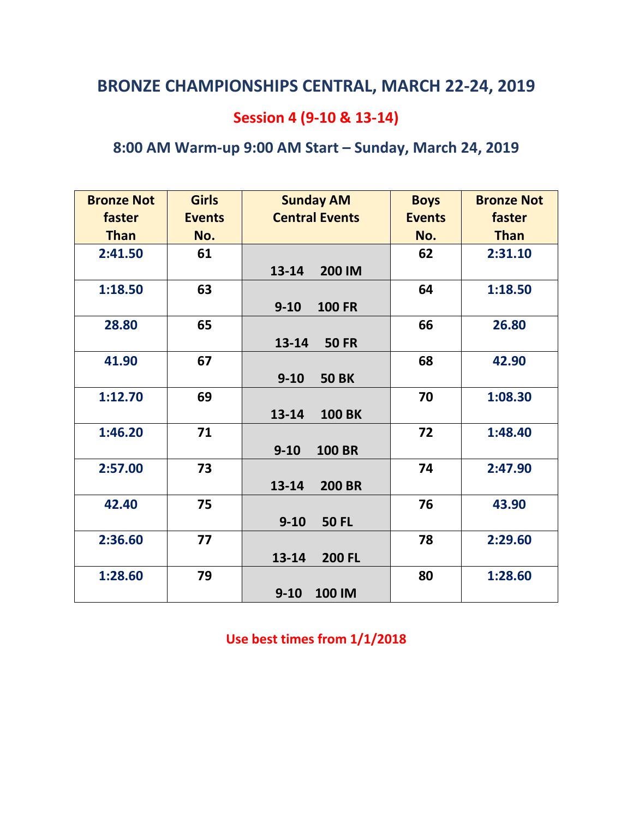## Session 4 (9-10 & 13-14)

## 8:00 AM Warm-up 9:00 AM Start – Sunday, March 24, 2019

| <b>Bronze Not</b> | <b>Girls</b>  | <b>Sunday AM</b>           | <b>Boys</b>   | <b>Bronze Not</b> |
|-------------------|---------------|----------------------------|---------------|-------------------|
| faster            | <b>Events</b> | <b>Central Events</b>      | <b>Events</b> | faster            |
| <b>Than</b>       | No.           |                            | No.           | <b>Than</b>       |
| 2:41.50           | 61            |                            | 62            | 2:31.10           |
|                   |               | 13-14<br>200 IM            |               |                   |
| 1:18.50           | 63            |                            | 64            | 1:18.50           |
|                   |               | $9 - 10$<br><b>100 FR</b>  |               |                   |
| 28.80             | 65            |                            | 66            | 26.80             |
|                   |               | 13-14<br><b>50 FR</b>      |               |                   |
| 41.90             | 67            |                            | 68            | 42.90             |
|                   |               | $9 - 10$<br><b>50 BK</b>   |               |                   |
| 1:12.70           | 69            |                            | 70            | 1:08.30           |
|                   |               | $13 - 14$<br><b>100 BK</b> |               |                   |
| 1:46.20           | 71            |                            | 72            | 1:48.40           |
|                   |               | $9 - 10$<br><b>100 BR</b>  |               |                   |
| 2:57.00           | 73            |                            | 74            | 2:47.90           |
|                   |               | 13-14<br><b>200 BR</b>     |               |                   |
| 42.40             | 75            |                            | 76            | 43.90             |
|                   |               | $9 - 10$<br><b>50 FL</b>   |               |                   |
| 2:36.60           | 77            |                            | 78            | 2:29.60           |
|                   |               | $13 - 14$<br><b>200 FL</b> |               |                   |
| 1:28.60           | 79            |                            | 80            | 1:28.60           |
|                   |               | $9 - 10$<br>100 IM         |               |                   |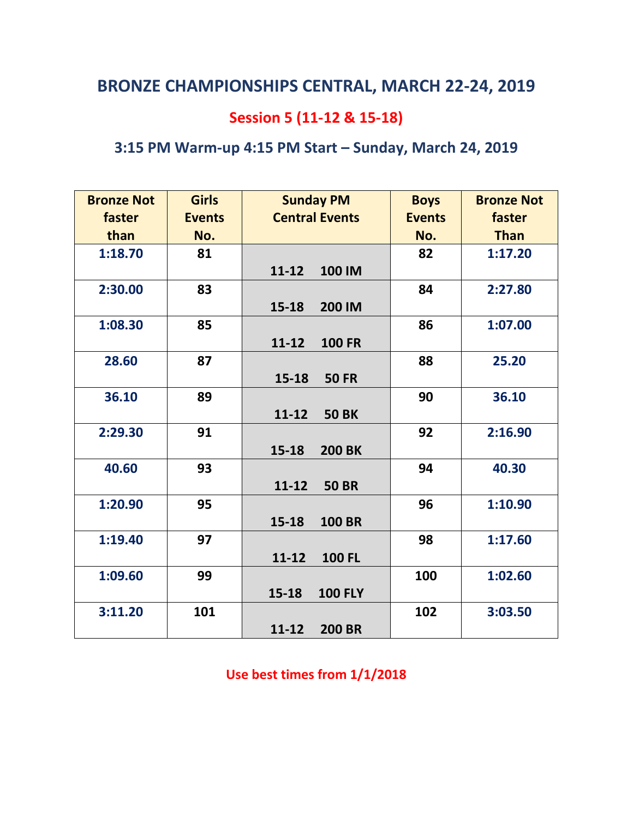## Session 5 (11-12 & 15-18)

## 3:15 PM Warm-up 4:15 PM Start – Sunday, March 24, 2019

| <b>Bronze Not</b> | <b>Girls</b>  | <b>Sunday PM</b>           | <b>Boys</b>   | <b>Bronze Not</b> |
|-------------------|---------------|----------------------------|---------------|-------------------|
| faster            | <b>Events</b> | <b>Central Events</b>      | <b>Events</b> | faster            |
| than              | No.           |                            | No.           | <b>Than</b>       |
| 1:18.70           | 81            |                            | 82            | 1:17.20           |
|                   |               | $11 - 12$<br>100 IM        |               |                   |
| 2:30.00           | 83            |                            | 84            | 2:27.80           |
|                   |               | 15-18<br>200 IM            |               |                   |
| 1:08.30           | 85            |                            | 86            | 1:07.00           |
|                   |               | $11 - 12$<br><b>100 FR</b> |               |                   |
| 28.60             | 87            |                            | 88            | 25.20             |
|                   |               | 15-18<br><b>50 FR</b>      |               |                   |
| 36.10             | 89            |                            | 90            | 36.10             |
|                   |               | $11 - 12$<br><b>50 BK</b>  |               |                   |
| 2:29.30           | 91            |                            | 92            | 2:16.90           |
|                   |               | 15-18<br><b>200 BK</b>     |               |                   |
| 40.60             | 93            |                            | 94            | 40.30             |
|                   |               | $11 - 12$<br><b>50 BR</b>  |               |                   |
| 1:20.90           | 95            |                            | 96            | 1:10.90           |
|                   |               | 15-18<br><b>100 BR</b>     |               |                   |
| 1:19.40           | 97            |                            | 98            | 1:17.60           |
|                   |               | $11 - 12$<br><b>100 FL</b> |               |                   |
| 1:09.60           | 99            |                            | 100           | 1:02.60           |
|                   |               | 15-18<br><b>100 FLY</b>    |               |                   |
| 3:11.20           | 101           |                            | 102           | 3:03.50           |
|                   |               | $11 - 12$<br><b>200 BR</b> |               |                   |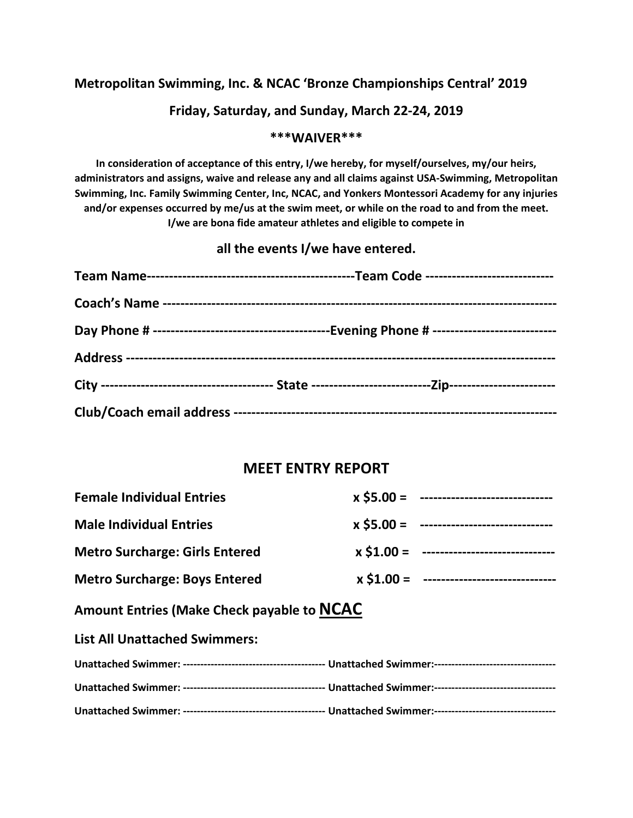#### Metropolitan Swimming, Inc. & NCAC 'Bronze Championships Central' 2019

#### Friday, Saturday, and Sunday, March 22-24, 2019

#### \*\*\*WAIVER\*\*\*

In consideration of acceptance of this entry, I/we hereby, for myself/ourselves, my/our heirs, administrators and assigns, waive and release any and all claims against USA-Swimming, Metropolitan Swimming, Inc. Family Swimming Center, Inc, NCAC, and Yonkers Montessori Academy for any injuries and/or expenses occurred by me/us at the swim meet, or while on the road to and from the meet. I/we are bona fide amateur athletes and eligible to compete in

#### all the events I/we have entered.

#### MEET ENTRY REPORT

| <b>Female Individual Entries</b>            |  | $x$ \$5.00 = -------------------------------   |  |  |
|---------------------------------------------|--|------------------------------------------------|--|--|
| <b>Male Individual Entries</b>              |  | $x$ \$5.00 = -------------------------------   |  |  |
| <b>Metro Surcharge: Girls Entered</b>       |  | $x$ \$1.00 = -------------------------------   |  |  |
| <b>Metro Surcharge: Boys Entered</b>        |  | $x$ \$1.00 = --------------------------------- |  |  |
| Amount Entrice (Make Check payable to NCAC) |  |                                                |  |  |

#### Amount Entries (Make Check payable to **NCAC**

List All Unattached Swimmers: